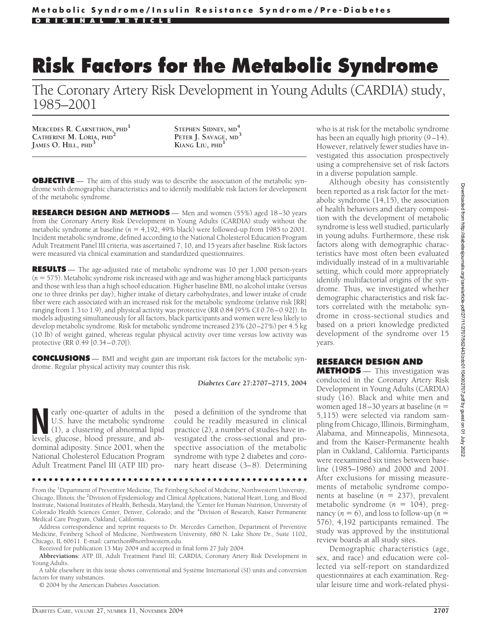# **Risk Factors for the Metabolic Syndrome**

The Coronary Artery Risk Development in Young Adults (CARDIA) study, 1985–2001

**MERCEDES R. CARNETHON, PHD<sup>1</sup> CATHERINE M. LORIA, PHD<sup>2</sup> JAMES O. HILL, PHD<sup>3</sup>**

**STEPHEN SIDNEY, MD<sup>4</sup> PETER J. SAVAGE, MD<sup>3</sup> KIANG LIU, PHD<sup>1</sup>**

**OBJECTIVE** — The aim of this study was to describe the association of the metabolic syndrome with demographic characteristics and to identify modifiable risk factors for development of the metabolic syndrome.

**RESEARCH DESIGN AND METHODS** — Men and women (55%) aged 18–30 years from the Coronary Artery Risk Development in Young Adults (CARDIA) study without the metabolic syndrome at baseline  $(n = 4,192, 49\%)$  black) were followed-up from 1985 to 2001. Incident metabolic syndrome, defined according to the National Cholesterol Education Program Adult Treatment Panel III criteria, was ascertained 7, 10, and 15 years after baseline. Risk factors were measured via clinical examination and standardized questionnaires.

**RESULTS** — The age-adjusted rate of metabolic syndrome was 10 per 1,000 person-years (*n* 575). Metabolic syndrome risk increased with age and was higher among black participants and those with less than a high school education. Higher baseline BMI, no alcohol intake (versus one to three drinks per day), higher intake of dietary carbohydrates, and lower intake of crude fiber were each associated with an increased risk for the metabolic syndrome (relative risk [RR] ranging from 1.3 to 1.9), and physical activity was protective (RR 0.84 [95% CI 0.76–0.92]). In models adjusting simultaneously for all factors, black participants and women were less likely to develop metabolic syndrome. Risk for metabolic syndrome increased 23% (20–27%) per 4.5 kg (10 lb) of weight gained, whereas regular physical activity over time versus low activity was protective (RR 0.49 [0.34–0.70]).

**CONCLUSIONS** — BMI and weight gain are important risk factors for the metabolic syndrome. Regular physical activity may counter this risk.

#### *Diabetes Care* **27:2707–2715, 2004**

**Nearly one-quarter of adults in the U.S. have the metabolic syndrome (1), a clustering of abnormal lipid levels glucose blood pressure and ab-**U.S. have the metabolic syndrome levels, glucose, blood pressure, and abdominal adiposity. Since 2001, when the National Cholesterol Education Program Adult Treatment Panel III (ATP III) pro-

posed a definition of the syndrome that could be readily measured in clinical practice (2), a number of studies have investigated the cross-sectional and prospective association of the metabolic syndrome with type 2 diabetes and coronary heart disease (3–8). Determining

●●●●●●●●●●●●●●●●●●●●●●●●●●●●●●●●●●●●●●●●●●●●●●●●●

From the <sup>1</sup>Department of Preventive Medicine, The Feinberg School of Medicine, Northwestern University, Chicago, Illinois; the <sup>2</sup> Division of Epidemiology and Clinical Applications, National Heart, Lung, and Blood Institute, National Institutes of Health, Bethesda, Maryland; the <sup>3</sup>Center for Human Nutrition, University of Colorado Health Sciences Center, Denver, Colorado; and the <sup>4</sup>Division of Research, Kaiser Permanente Medical Care Program, Oakland, California.

Address correspondence and reprint requests to Dr. Mercedes Carnethon, Department of Preventive Medicine, Feinberg School of Medicine, Northwestern University, 680 N. Lake Shore Dr., Suite 1102, Chicago, IL 60611. E-mail: carnethon@northwestern.edu.

Received for publication 13 May 2004 and accepted in final form 27 July 2004.

**Abbreviations:** ATP III, Adult Treatment Panel III; CARDIA, Coronary Artery Risk Development in Young Adults.

A table elsewhere in this issue shows conventional and Système International (SI) units and conversion factors for many substances.

© 2004 by the American Diabetes Association.

who is at risk for the metabolic syndrome has been an equally high priority (9–14). However, relatively fewer studies have investigated this association prospectively using a comprehensive set of risk factors in a diverse population sample.

Although obesity has consistently been reported as a risk factor for the metabolic syndrome (14,15), the association of health behaviors and dietary composition with the development of metabolic syndrome is less well studied, particularly in young adults. Furthermore, these risk factors along with demographic characteristics have most often been evaluated individually instead of in a multivariable setting, which could more appropriately identify multifactorial origins of the syndrome. Thus, we investigated whether demographic characteristics and risk factors correlated with the metabolic syndrome in cross-sectional studies and based on a priori knowledge predicted development of the syndrome over 15 years.

# **RESEARCH DESIGN AND**

**METHODS** — This investigation was conducted in the Coronary Artery Risk Development in Young Adults (CARDIA) study (16). Black and white men and women aged 18–30 years at baseline (*n* 5,115) were selected via random sampling from Chicago, Illinois, Birmingham, Alabama, and Minneapolis, Minnesota, and from the Kaiser-Permanente health plan in Oakland, California. Participants were reexamined six times between baseline (1985–1986) and 2000 and 2001. After exclusions for missing measurements of metabolic syndrome components at baseline  $(n = 237)$ , prevalent metabolic syndrome  $(n = 104)$ , pregnancy  $(n = 6)$ , and loss to follow-up  $(n = 6)$ 576), 4,192 participants remained. The study was approved by the institutional review boards at all study sites.

Demographic characteristics (age, sex, and race) and education were collected via self-report on standardized questionnaires at each examination. Regular leisure time and work-related physi-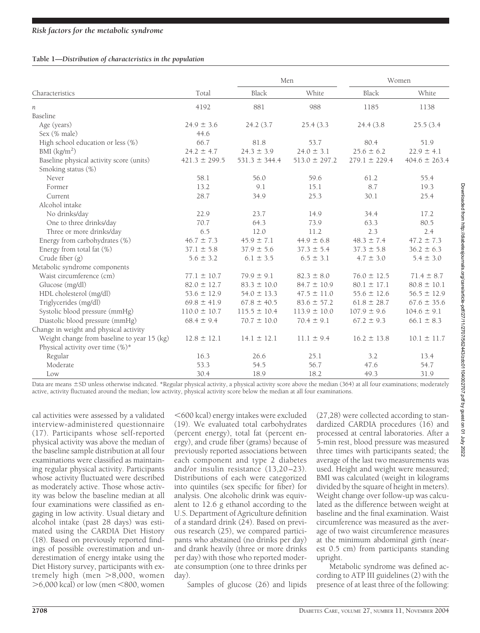## **Table 1—***Distribution of characteristics in the population*

|                                             |                   |                   | Men               |                   | Women             |  |
|---------------------------------------------|-------------------|-------------------|-------------------|-------------------|-------------------|--|
| Characteristics                             | Total             | Black             | White             | Black             | White             |  |
| n                                           | 4192              | 881               | 988               | 1185              | 1138              |  |
| Baseline                                    |                   |                   |                   |                   |                   |  |
| Age (years)                                 | $24.9 \pm 3.6$    | 24.2 (3.7)        | 25.4(3.3)         | 24.4(3.8)         | 25.5(3.4)         |  |
| Sex (% male)                                | 44.6              |                   |                   |                   |                   |  |
| High school education or less (%)           | 66.7              | 81.8              | 53.7              | 80.4              | 51.9              |  |
| BMI $(kg/m2)$                               | $24.2 \pm 4.7$    | $24.3 \pm 3.9$    | $24.0 \pm 3.1$    | $25.6 \pm 6.2$    | $22.9 \pm 4.1$    |  |
| Baseline physical activity score (units)    | $421.3 \pm 299.5$ | $531.3 \pm 344.4$ | $513.0 \pm 297.2$ | $279.1 \pm 229.4$ | $404.6 \pm 263.4$ |  |
| Smoking status (%)                          |                   |                   |                   |                   |                   |  |
| Never                                       | 58.1              | 56.0              | 59.6              | 61.2              | 55.4              |  |
| Former                                      | 13.2              | 9.1               | 15.1              | 8.7               | 19.3              |  |
| Current                                     | 28.7              | 34.9              | 25.3              | 30.1              | 25.4              |  |
| Alcohol intake                              |                   |                   |                   |                   |                   |  |
| No drinks/day                               | 22.9              | 23.7              | 14.9              | 34.4              | 17.2              |  |
| One to three drinks/day                     | 70.7              | 64.3              | 73.9              | 63.3              | 80.5              |  |
| Three or more drinks/day                    | 6.5               | 12.0              | 11.2              | 2.3               | 2.4               |  |
| Energy from carbohydrates (%)               | $46.7 \pm 7.3$    | $45.9 \pm 7.1$    | $44.9 \pm 6.8$    | $48.3 \pm 7.4$    | $47.2 \pm 7.3$    |  |
| Energy from total fat (%)                   | $37.1 \pm 5.8$    | $37.9 \pm 5.6$    | $37.3 \pm 5.4$    | $37.3 \pm 5.8$    | $36.2 \pm 6.3$    |  |
| Crude fiber (g)                             | $5.6 \pm 3.2$     | $6.1 \pm 3.5$     | $6.5 \pm 3.1$     | $4.7 \pm 3.0$     | $5.4 \pm 3.0$     |  |
| Metabolic syndrome components               |                   |                   |                   |                   |                   |  |
| Waist circumference (cm)                    | $77.1 \pm 10.7$   | $79.9 \pm 9.1$    | $82.3 \pm 8.0$    | $76.0 \pm 12.5$   | $71.4 \pm 8.7$    |  |
| Glucose (mg/dl)                             | $82.0 \pm 12.7$   | $83.3 \pm 10.0$   | $84.7 \pm 10.9$   | $80.1 \pm 17.1$   | $80.8 \pm 10.1$   |  |
| HDL cholesterol (mg/dl)                     | $53.6 \pm 12.9$   | $54.0 \pm 13.3$   | $47.5 \pm 11.0$   | $55.6 \pm 12.6$   | $56.5 \pm 12.9$   |  |
| Triglycerides (mg/dl)                       | $69.8 \pm 41.9$   | $67.8 \pm 40.5$   | $83.6 \pm 57.2$   | $61.8 \pm 28.7$   | $67.6 \pm 35.6$   |  |
| Systolic blood pressure (mmHg)              | $110.0 \pm 10.7$  | $115.5 \pm 10.4$  | $113.9 \pm 10.0$  | $107.9 \pm 9.6$   | $104.6 \pm 9.1$   |  |
| Diastolic blood pressure (mmHg)             | $68.4 \pm 9.4$    | $70.7 \pm 10.0$   | $70.4 \pm 9.1$    | $67.2 \pm 9.3$    | $66.1 \pm 8.3$    |  |
| Change in weight and physical activity      |                   |                   |                   |                   |                   |  |
| Weight change from baseline to year 15 (kg) | $12.8 \pm 12.1$   | $14.1 \pm 12.1$   | $11.1 \pm 9.4$    | $16.2 \pm 13.8$   | $10.1 \pm 11.7$   |  |
| Physical activity over time (%)*            |                   |                   |                   |                   |                   |  |
| Regular                                     | 16.3              | 26.6              | 25.1              | 3.2               | 13.4              |  |
| Moderate                                    | 53.3              | 54.5              | 56.7              | 47.6              | 54.7              |  |
| Low                                         | 30.4              | 18.9              | 18.2              | 49.3              | 31.9              |  |

Data are means  $\pm$  SD unless otherwise indicated. \*Regular physical activity, a physical activity score above the median (364) at all four examinations; moderately active, activity fluctuated around the median; low activity, physical activity score below the median at all four examinations.

cal activities were assessed by a validated interview-administered questionnaire (17). Participants whose self-reported physical activity was above the median of the baseline sample distribution at all four examinations were classified as maintaining regular physical activity. Participants whose activity fluctuated were described as moderately active. Those whose activity was below the baseline median at all four examinations were classified as engaging in low activity. Usual dietary and alcohol intake (past 28 days) was estimated using the CARDIA Diet History (18). Based on previously reported findings of possible overestimation and underestimation of energy intake using the Diet History survey, participants with extremely high (men >8,000, women >6,000 kcal) or low (men <800, women

600 kcal) energy intakes were excluded (19). We evaluated total carbohydrates (percent energy), total fat (percent energy), and crude fiber (grams) because of previously reported associations between each component and type 2 diabetes and/or insulin resistance (13,20–23). Distributions of each were categorized into quintiles (sex specific for fiber) for analysis. One alcoholic drink was equivalent to 12.6 g ethanol according to the U.S. Department of Agriculture definition of a standard drink (24). Based on previous research (25), we compared participants who abstained (no drinks per day) and drank heavily (three or more drinks per day) with those who reported moderate consumption (one to three drinks per day).

Samples of glucose (26) and lipids

(27,28) were collected according to standardized CARDIA procedures (16) and processed at central laboratories. After a 5-min rest, blood pressure was measured three times with participants seated; the average of the last two measurements was used. Height and weight were measured; BMI was calculated (weight in kilograms divided by the square of height in meters). Weight change over follow-up was calculated as the difference between weight at baseline and the final examination. Waist circumference was measured as the average of two waist circumference measures at the minimum abdominal girth (nearest 0.5 cm) from participants standing upright.

Metabolic syndrome was defined according to ATP III guidelines (2) with the presence of at least three of the following: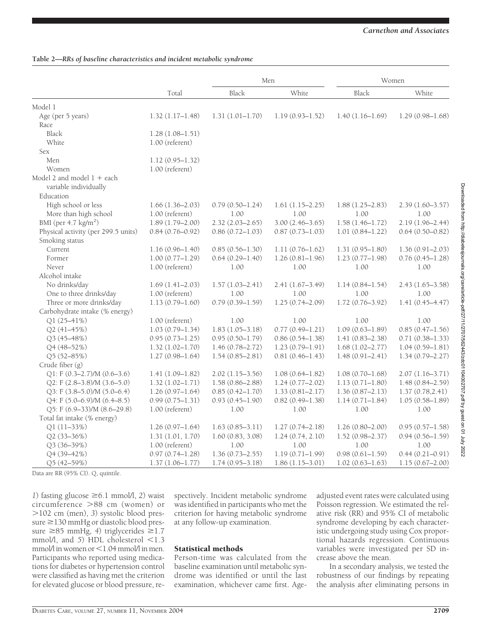*Carnethon and Associates*

|                                     |                     |                     | Men                 | Women               |                     |
|-------------------------------------|---------------------|---------------------|---------------------|---------------------|---------------------|
|                                     | Total               | Black               | White               | Black               | White               |
| Model 1                             |                     |                     |                     |                     |                     |
| Age (per 5 years)                   | $1.32(1.17-1.48)$   | $1.31(1.01 - 1.70)$ | $1.19(0.93 - 1.52)$ | $1.40(1.16-1.69)$   | $1.29(0.98 - 1.68)$ |
| Race                                |                     |                     |                     |                     |                     |
| <b>Black</b>                        | $1.28(1.08 - 1.51)$ |                     |                     |                     |                     |
| White                               | 1.00 (referent)     |                     |                     |                     |                     |
| Sex                                 |                     |                     |                     |                     |                     |
| Men                                 | $1.12(0.95 - 1.32)$ |                     |                     |                     |                     |
| Women                               | 1.00 (referent)     |                     |                     |                     |                     |
| Model 2 and model $1 +$ each        |                     |                     |                     |                     |                     |
| variable individually               |                     |                     |                     |                     |                     |
| Education                           |                     |                     |                     |                     |                     |
| High school or less                 | $1.66(1.36-2.03)$   | $0.79(0.50 - 1.24)$ | $1.61(1.15-2.25)$   | $1.88(1.25-2.83)$   | $2.39(1.60-3.57)$   |
| More than high school               | $1.00$ (referent)   | 1.00                | 1.00                | 1.00                | 1.00                |
| BMI (per 4.7 kg/m <sup>2</sup> )    | $1.89(1.79 - 2.00)$ | $2.32(2.03 - 2.65)$ | $3.00(2.46 - 3.65)$ | $1.58(1.46 - 1.72)$ | $2.19(1.96 - 2.44)$ |
| Physical activity (per 299.5 units) | $0.84(0.76 - 0.92)$ | $0.86(0.72 - 1.03)$ | $0.87(0.73 - 1.03)$ | $1.01(0.84 - 1.22)$ | $0.64(0.50 - 0.82)$ |
| Smoking status                      |                     |                     |                     |                     |                     |
| Current                             | $1.16(0.96 - 1.40)$ | $0.85(0.56 - 1.30)$ | $1.11(0.76 - 1.62)$ | $1.31(0.95 - 1.80)$ | $1.36(0.91 - 2.03)$ |
| Former                              | $1.00(0.77 - 1.29)$ | $0.64(0.29 - 1.40)$ | $1.26(0.81 - 1.96)$ | $1.23(0.77-1.98)$   | $0.76(0.45 - 1.28)$ |
| Never                               | 1.00 (referent)     | 1.00                | 1.00                | 1.00                | 1.00                |
| Alcohol intake                      |                     |                     |                     |                     |                     |
| No drinks/day                       | $1.69(1.41-2.03)$   | $1.57(1.03 - 2.41)$ | $2.41(1.67-3.49)$   | $1.14(0.84 - 1.54)$ | $2.43(1.65 - 3.58)$ |
| One to three drinks/day             | 1.00 (referent)     | 1.00                | 1.00                | 1.00                | 1.00                |
| Three or more drinks/day            | $1.13(0.79 - 1.60)$ | $0.79(0.39 - 1.59)$ | $1.25(0.74 - 2.09)$ | $1.72(0.76 - 3.92)$ | $1.41(0.45 - 4.47)$ |
| Carbohydrate intake (% energy)      |                     |                     |                     |                     |                     |
| Q1 (25-41%)                         | 1.00 (referent)     | 1.00                | 1.00                | 1.00                | 1.00                |
| Q2 (41-45%)                         | $1.03(0.79 - 1.34)$ | $1.83(1.05 - 3.18)$ | $0.77(0.49 - 1.21)$ | $1.09(0.63 - 1.89)$ | $0.85(0.47 - 1.56)$ |
| $Q3(45-48%)$                        | $0.95(0.73 - 1.25)$ | $0.95(0.50 - 1.79)$ | $0.86(0.54 - 1.38)$ | $1.41(0.83 - 2.38)$ | $0.71(0.38 - 1.33)$ |
| Q4 (48-52%)                         | $1.32(1.02 - 1.70)$ | $1.46(0.78 - 2.72)$ | $1.23(0.79 - 1.91)$ | $1.68(1.02 - 2.77)$ | $1.04(0.59 - 1.81)$ |
| Q5 (52-85%)                         | $1.27(0.98 - 1.64)$ | $1.54(0.85-2.81)$   | $0.81(0.46-1.43)$   | $1.48(0.91 - 2.41)$ | $1.34(0.79 - 2.27)$ |
| Crude fiber (g)                     |                     |                     |                     |                     |                     |
| $Q1: F (0.3-2.7)/M (0.6-3.6)$       | $1.41(1.09 - 1.82)$ | $2.02(1.15 - 3.56)$ | $1.08(0.64 - 1.82)$ | $1.08(0.70 - 1.68)$ | $2.07(1.16 - 3.71)$ |
| $Q2: F(2.8-3.8)/M(3.6-5.0)$         | $1.32(1.02 - 1.71)$ | $1.58(0.86 - 2.88)$ | $1.24(0.77-2.02)$   | $1.13(0.71 - 1.80)$ | $1.48(0.84 - 2.59)$ |
| Q3: F (3.8-5.0)/M (5.0-6.4)         | $1.26(0.97 - 1.64)$ | $0.85(0.42 - 1.70)$ | $1.33(0.81 - 2.17)$ | $1.36(0.87 - 2.13)$ | 1.37(0.78, 2.41)    |
| Q4: F (5.0-6.9)/M (6.4-8.5)         | $0.99(0.75 - 1.31)$ | $0.93(0.45 - 1.90)$ | $0.82(0.49 - 1.38)$ | $1.14(0.71 - 1.84)$ | $1.05(0.58 - 1.89)$ |
| Q5: F (6.9-33)/M (8.6-29.8)         | 1.00 (referent)     | 1.00                | 1.00                | 1.00                | 1.00                |
| Total fat intake (% energy)         |                     |                     |                     |                     |                     |
| Q1 (11-33%)                         | $1.26(0.97 - 1.64)$ | $1.63(0.85 - 3.11)$ | $1.27(0.74 - 2.18)$ | $1.26(0.80 - 2.00)$ | $0.95(0.57 - 1.58)$ |
| Q2 (33-36%)                         | 1.31(1.01, 1.70)    | 1.60(0.83, 3.08)    | 1.24(0.74, 2.10)    | $1.52(0.98 - 2.37)$ | $0.94(0.56 - 1.59)$ |
| Q3 (36-39%)                         | 1.00 (referent)     | 1.00                | 1.00                | 1.00                | 1.00                |
| Q4 (39-42%)                         | $0.97(0.74 - 1.28)$ | $1.36(0.73 - 2.55)$ | $1.19(0.71 - 1.99)$ | $0.98(0.61 - 1.59)$ | $0.44(0.21 - 0.91)$ |
| $Q5(42-59%)$                        | $1.37(1.06 - 1.77)$ | $1.74(0.95 - 3.18)$ | $1.86(1.15-3.01)$   | $1.02(0.63 - 1.63)$ | $1.15(0.67-2.00)$   |

## **Table 2—***RRs of baseline characteristics and incident metabolic syndrome*

Data are RR (95% CI). Q, quintile.

*1*) fasting glucose  $\geq 6.1$  mmol/l, *2*) waist circumference -88 cm (women) or -102 cm (men), *3*) systolic blood pres $sure \geq 130$  mmHg or diastolic blood pressure  $\geq$ 85 mmHg, 4) triglycerides  $\geq$ 1.7 mmol/l, and 5) HDL cholesterol <1.3  $mmol/$ l in women or  $\leq 1.04$  mmol/l in men. Participants who reported using medications for diabetes or hypertension control were classified as having met the criterion for elevated glucose or blood pressure, respectively. Incident metabolic syndrome was identified in participants who met the criterion for having metabolic syndrome at any follow-up examination.

## Statistical methods

Person-time was calculated from the baseline examination until metabolic syndrome was identified or until the last examination, whichever came first. Age-

adjusted event rates were calculated using Poisson regression. We estimated the relative risk (RR) and 95% CI of metabolic syndrome developing by each characteristic undergoing study using Cox proportional hazards regression. Continuous variables were investigated per SD increase above the mean.

In a secondary analysis, we tested the robustness of our findings by repeating the analysis after eliminating persons in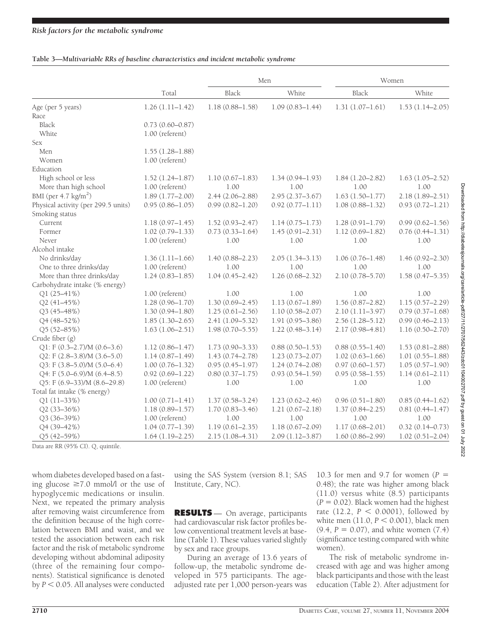## **Table 3—***Multivariable RRs of baseline characteristics and incident metabolic syndrome*

|                                     | Total               |                     | Men                 | Women               |                     |  |
|-------------------------------------|---------------------|---------------------|---------------------|---------------------|---------------------|--|
|                                     |                     | Black               | White               | Black               | White               |  |
| Age (per 5 years)                   | $1.26(1.11 - 1.42)$ | $1.18(0.88 - 1.58)$ | $1.09(0.83 - 1.44)$ | $1.31(1.07-1.61)$   | $1.53(1.14 - 2.05)$ |  |
| Race                                |                     |                     |                     |                     |                     |  |
| Black                               | $0.73(0.60 - 0.87)$ |                     |                     |                     |                     |  |
| White                               | 1.00 (referent)     |                     |                     |                     |                     |  |
| <b>Sex</b>                          |                     |                     |                     |                     |                     |  |
| Men                                 | $1.55(1.28 - 1.88)$ |                     |                     |                     |                     |  |
| Women                               | 1.00 (referent)     |                     |                     |                     |                     |  |
| Education                           |                     |                     |                     |                     |                     |  |
| High school or less                 | $1.52(1.24 - 1.87)$ | $1.10(0.67 - 1.83)$ | $1.34(0.94 - 1.93)$ | $1.84(1.20 - 2.82)$ | $1.63(1.05 - 2.52)$ |  |
| More than high school               | $1.00$ (referent)   | 1.00                | 1.00                | 1.00                | 1.00                |  |
| BMI (per $4.7 \text{ kg/m}^2$ )     | $1.89(1.77-2.00)$   | $2.44(2.06 - 2.88)$ | $2.95(2.37 - 3.67)$ | $1.63(1.50 - 1.77)$ | $2.18(1.89 - 2.51)$ |  |
| Physical activity (per 299.5 units) | $0.95(0.86 - 1.05)$ | $0.99(0.82 - 1.20)$ | $0.92(0.77 - 1.11)$ | $1.08(0.88 - 1.32)$ | $0.93(0.72 - 1.21)$ |  |
| Smoking status                      |                     |                     |                     |                     |                     |  |
| Current                             | $1.18(0.97 - 1.45)$ | $1.52(0.93 - 2.47)$ | $1.14(0.75 - 1.73)$ | $1.28(0.91 - 1.79)$ | $0.99(0.62 - 1.56)$ |  |
| Former                              | $1.02(0.79 - 1.33)$ | $0.73(0.33 - 1.64)$ | $1.45(0.91 - 2.31)$ | $1.12(0.69 - 1.82)$ | $0.76(0.44 - 1.31)$ |  |
| Never                               | 1.00 (referent)     | 1.00                | 1.00                | 1.00                | 1.00                |  |
| Alcohol intake                      |                     |                     |                     |                     |                     |  |
| No drinks/day                       | $1.36(1.11-1.66)$   | $1.40(0.88 - 2.23)$ | $2.05(1.34 - 3.13)$ | $1.06(0.76 - 1.48)$ | $1.46(0.92 - 2.30)$ |  |
| One to three drinks/day             | 1.00 (referent)     | 1.00                | 1.00                | 1.00                | 1.00                |  |
| More than three drinks/day          | $1.24(0.83 - 1.85)$ | $1.04(0.45 - 2.42)$ | $1.26(0.68 - 2.32)$ | $2.10(0.78 - 5.70)$ | $1.58(0.47 - 5.35)$ |  |
| Carbohydrate intake (% energy)      |                     |                     |                     |                     |                     |  |
| Q1 (25-41%)                         | $1.00$ (referent)   | 1.00                | 1.00                | 1.00                | 1.00                |  |
| Q2 (41-45%)                         | $1.28(0.96 - 1.70)$ | $1.30(0.69 - 2.45)$ | $1.13(0.67 - 1.89)$ | $1.56(0.87 - 2.82)$ | $1.15(0.57 - 2.29)$ |  |
| Q3 (45-48%)                         | $1.30(0.94 - 1.80)$ | $1.25(0.61 - 2.56)$ | $1.10(0.58 - 2.07)$ | $2.10(1.11-3.97)$   | $0.79(0.37-1.68)$   |  |
| Q4 (48-52%)                         | $1.85(1.30-2.65)$   | $2.41(1.09 - 5.32)$ | $1.91(0.95 - 3.86)$ | $2.56(1.28 - 5.12)$ | $0.99(0.46 - 2.13)$ |  |
| Q5 (52-85%)                         | $1.63(1.06 - 2.51)$ | $1.98(0.70 - 5.55)$ | $1.22(0.48 - 3.14)$ | 2.17 (0.98-4.81)    | $1.16(0.50 - 2.70)$ |  |
| Crude fiber (g)                     |                     |                     |                     |                     |                     |  |
| Q1: F (0.3–2.7)/M (0.6–3.6)         | $1.12(0.86 - 1.47)$ | $1.73(0.90 - 3.33)$ | $0.88(0.50 - 1.53)$ | $0.88(0.55 - 1.40)$ | $1.53(0.81 - 2.88)$ |  |
| Q2: F (2.8-3.8)/M (3.6-5.0)         | $1.14(0.87 - 1.49)$ | $1.43(0.74 - 2.78)$ | $1.23(0.73 - 2.07)$ | $1.02(0.63 - 1.66)$ | $1.01(0.55 - 1.88)$ |  |
| Q3: F (3.8-5.0)/M (5.0-6.4)         | $1.00(0.76 - 1.32)$ | $0.95(0.45 - 1.97)$ | $1.24(0.74 - 2.08)$ | $0.97(0.60 - 1.57)$ | $1.05(0.57-1.90)$   |  |
| Q4: F (5.0-6.9)/M (6.4-8.5)         | $0.92(0.69 - 1.22)$ | $0.80(0.37 - 1.75)$ | $0.93(0.54 - 1.59)$ | $0.95(0.58 - 1.55)$ | $1.14(0.61 - 2.11)$ |  |
| Q5: F (6.9-33)/M (8.6-29.8)         | $1.00$ (referent)   | 1.00                | 1.00                | 1.00                | 1.00                |  |
| Total fat intake (% energy)         |                     |                     |                     |                     |                     |  |
| Q1 (11-33%)                         | $1.00(0.71 - 1.41)$ | $1.37(0.58 - 3.24)$ | $1.23(0.62 - 2.46)$ | $0.96(0.51 - 1.80)$ | $0.85(0.44 - 1.62)$ |  |
| Q2 (33-36%)                         | $1.18(0.89 - 1.57)$ | $1.70(0.83 - 3.46)$ | $1.21(0.67 - 2.18)$ | $1.37(0.84 - 2.25)$ | $0.81(0.44 - 1.47)$ |  |
| Q3 (36-39%)                         | 1.00 (referent)     | 1.00                | 1.00                | 1.00                | 1.00                |  |
| Q4 (39-42%)                         | $1.04(0.77-1.39)$   | $1.19(0.61 - 2.35)$ | $1.18(0.67 - 2.09)$ | $1.17(0.68 - 2.01)$ | $0.32(0.14 - 0.73)$ |  |
| Q5 (42-59%)                         | $1.64(1.19-2.25)$   | $2.15(1.08 - 4.31)$ | $2.09(1.12 - 3.87)$ | $1.60(0.86 - 2.99)$ | $1.02(0.51 - 2.04)$ |  |

Data are RR (95% CI). Q, quintile.

whom diabetes developed based on a fasting glucose  $\geq 7.0$  mmol/l or the use of hypoglycemic medications or insulin. Next, we repeated the primary analysis after removing waist circumference from the definition because of the high correlation between BMI and waist, and we tested the association between each risk factor and the risk of metabolic syndrome developing without abdominal adiposity (three of the remaining four components). Statistical significance is denoted by  $P < 0.05$ . All analyses were conducted

using the SAS System (version 8.1; SAS Institute, Cary, NC).

**RESULTS** — On average, participants had cardiovascular risk factor profiles below conventional treatment levels at baseline (Table 1). These values varied slightly by sex and race groups.

During an average of 13.6 years of follow-up, the metabolic syndrome developed in 575 participants. The ageadjusted rate per 1,000 person-years was

10.3 for men and 9.7 for women (*P* 0.48); the rate was higher among black (11.0) versus white (8.5) participants  $(P = 0.02)$ . Black women had the highest rate (12.2,  $P < 0.0001$ ), followed by white men  $(11.0, P \le 0.001)$ , black men  $(9.4, P = 0.07)$ , and white women  $(7.4)$ (significance testing compared with white women).

The risk of metabolic syndrome increased with age and was higher among black participants and those with the least education (Table 2). After adjustment for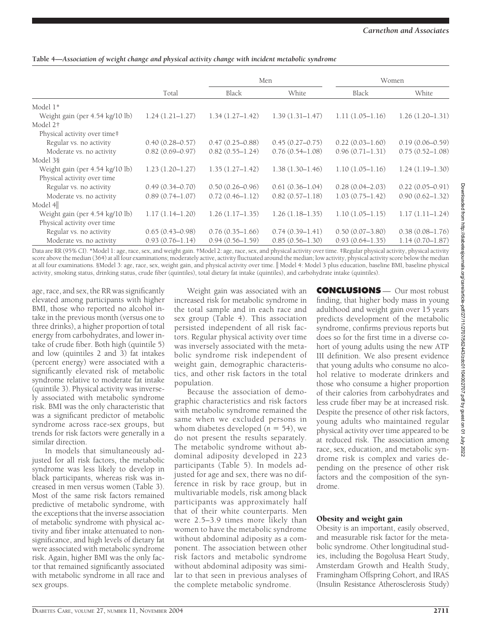| Table 4—Association of weight change and physical activity change with incident metabolic syndrome |  |  |  |  |
|----------------------------------------------------------------------------------------------------|--|--|--|--|
|                                                                                                    |  |  |  |  |

|                                 |                     |                     | Men                 | Women               |                     |
|---------------------------------|---------------------|---------------------|---------------------|---------------------|---------------------|
|                                 | Total               | Black               | White               | Black               | White               |
| Model 1*                        |                     |                     |                     |                     |                     |
| Weight gain (per 4.54 kg/10 lb) | $1.24(1.21-1.27)$   | $1.34(1.27-1.42)$   | $1.39(1.31 - 1.47)$ | $1.11(1.05-1.16)$   | $1.26(1.20-1.31)$   |
| Model 2†                        |                     |                     |                     |                     |                     |
| Physical activity over time‡    |                     |                     |                     |                     |                     |
| Regular vs. no activity         | $0.40(0.28 - 0.57)$ | $0.47(0.25 - 0.88)$ | $0.45(0.27-0.75)$   | $0.22(0.03-1.60)$   | $0.19(0.06 - 0.59)$ |
| Moderate vs. no activity        | $0.82(0.69 - 0.97)$ | $0.82(0.55 - 1.24)$ | $0.76(0.54 - 1.08)$ | $0.96(0.71 - 1.31)$ | $0.75(0.52 - 1.08)$ |
| Model 3§                        |                     |                     |                     |                     |                     |
| Weight gain (per 4.54 kg/10 lb) | $1.23(1.20 - 1.27)$ | $1.35(1.27-1.42)$   | $1.38(1.30 - 1.46)$ | $1.10(1.05-1.16)$   | $1.24(1.19-1.30)$   |
| Physical activity over time     |                     |                     |                     |                     |                     |
| Regular vs. no activity         | $0.49(0.34 - 0.70)$ | $0.50(0.26 - 0.96)$ | $0.61(0.36 - 1.04)$ | $0.28(0.04-2.03)$   | $0.22(0.05-0.91)$   |
| Moderate vs. no activity        | $0.89(0.74 - 1.07)$ | $0.72(0.46 - 1.12)$ | $0.82(0.57 - 1.18)$ | $1.03(0.75 - 1.42)$ | $0.90(0.62 - 1.32)$ |
| Model $4\ $                     |                     |                     |                     |                     |                     |
| Weight gain (per 4.54 kg/10 lb) | $1.17(1.14 - 1.20)$ | $1.26(1.17-1.35)$   | $1.26(1.18-1.35)$   | $1.10(1.05-1.15)$   | $1.17(1.11-1.24)$   |
| Physical activity over time     |                     |                     |                     |                     |                     |
| Regular vs. no activity         | $0.65(0.43 - 0.98)$ | $0.76(0.35-1.66)$   | $0.74(0.39 - 1.41)$ | $0.50(0.07-3.80)$   | $0.38(0.08 - 1.76)$ |
| Moderate vs. no activity        | $0.93(0.76 - 1.14)$ | $0.94(0.56 - 1.59)$ | $0.85(0.56 - 1.30)$ | $0.93(0.64 - 1.35)$ | $1.14(0.70 - 1.87)$ |

Data are RR (95% CI). \*Model 1: age, race, sex, and weight gain. †Model 2: age, race, sex, and physical activity over time. ‡Regular physical activity, physical activity score above the median (364) at all four examinations; moderately active, activity fluctuated around the median; low activity, physical activity score below the median at all four examinations. §Model 3: age, race, sex, weight gain, and physical activity over time. Model 4: Model 3 plus education, baseline BMI, baseline physical activity, smoking status, drinking status, crude fiber (quintiles), total dietary fat intake (quintiles), and carbohydrate intake (quintiles).

age, race, and sex, the RR was significantly elevated among participants with higher BMI, those who reported no alcohol intake in the previous month (versus one to three drinks), a higher proportion of total energy from carbohydrates, and lower intake of crude fiber. Both high (quintile 5) and low (quintiles 2 and 3) fat intakes (percent energy) were associated with a significantly elevated risk of metabolic syndrome relative to moderate fat intake (quintile 3). Physical activity was inversely associated with metabolic syndrome risk. BMI was the only characteristic that was a significant predictor of metabolic syndrome across race-sex groups, but trends for risk factors were generally in a similar direction.

In models that simultaneously adjusted for all risk factors, the metabolic syndrome was less likely to develop in black participants, whereas risk was increased in men versus women (Table 3). Most of the same risk factors remained predictive of metabolic syndrome, with the exceptions that the inverse association of metabolic syndrome with physical activity and fiber intake attenuated to nonsignificance, and high levels of dietary fat were associated with metabolic syndrome risk. Again, higher BMI was the only factor that remained significantly associated with metabolic syndrome in all race and sex groups.

Weight gain was associated with an increased risk for metabolic syndrome in the total sample and in each race and sex group (Table 4). This association persisted independent of all risk factors. Regular physical activity over time was inversely associated with the metabolic syndrome risk independent of weight gain, demographic characteristics, and other risk factors in the total population.

Because the association of demographic characteristics and risk factors with metabolic syndrome remained the same when we excluded persons in whom diabetes developed  $(n = 54)$ , we do not present the results separately. The metabolic syndrome without abdominal adiposity developed in 223 participants (Table 5). In models adjusted for age and sex, there was no difference in risk by race group, but in multivariable models, risk among black participants was approximately half that of their white counterparts. Men were 2.5–3.9 times more likely than women to have the metabolic syndrome without abdominal adiposity as a component. The association between other risk factors and metabolic syndrome without abdominal adiposity was similar to that seen in previous analyses of the complete metabolic syndrome.

**CONCLUSIONS** — Our most robust finding, that higher body mass in young adulthood and weight gain over 15 years predicts development of the metabolic syndrome, confirms previous reports but does so for the first time in a diverse cohort of young adults using the new ATP III definition. We also present evidence that young adults who consume no alcohol relative to moderate drinkers and those who consume a higher proportion of their calories from carbohydrates and less crude fiber may be at increased risk. Despite the presence of other risk factors, young adults who maintained regular physical activity over time appeared to be at reduced risk. The association among race, sex, education, and metabolic syndrome risk is complex and varies depending on the presence of other risk factors and the composition of the syndrome.

# Obesity and weight gain

Obesity is an important, easily observed, and measurable risk factor for the metabolic syndrome. Other longitudinal studies, including the Bogolusa Heart Study, Amsterdam Growth and Health Study, Framingham Offspring Cohort, and IRAS (Insulin Resistance Atherosclerosis Study)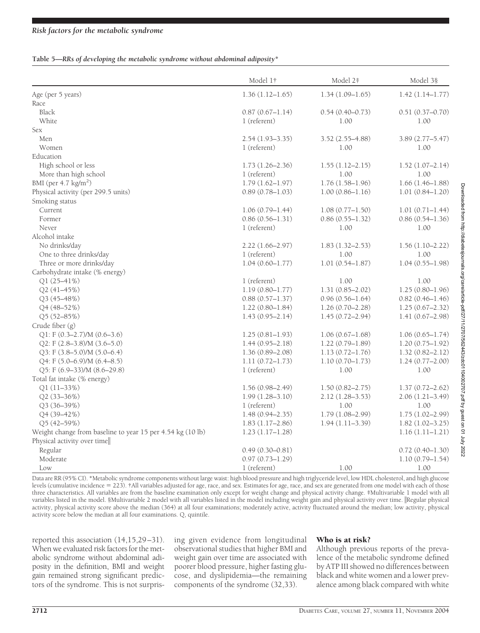## *Risk factors for the metabolic syndrome*

#### **Table 5—***RRs of developing the metabolic syndrome without abdominal adiposity\**

|                                                               | Model 1†                            | Model 2‡                    | Model 38                    |
|---------------------------------------------------------------|-------------------------------------|-----------------------------|-----------------------------|
| Age (per 5 years)                                             | $1.36(1.12 - 1.65)$                 | $1.34(1.09 - 1.65)$         | $1.42(1.14 - 1.77)$         |
| Race                                                          |                                     |                             |                             |
| Black                                                         | $0.87(0.67 - 1.14)$                 | $0.54(0.40 - 0.73)$         | $0.51(0.37 - 0.70)$         |
| <b>White</b>                                                  | 1 (referent)                        | 1.00                        | 1.00                        |
| Sex                                                           |                                     |                             |                             |
| Men                                                           | $2.54(1.93 - 3.35)$                 | $3.52(2.55 - 4.88)$         | $3.89(2.77 - 5.47)$         |
| Women                                                         | 1 (referent)                        | 1.00                        | 1.00                        |
| Education                                                     |                                     |                             |                             |
| High school or less                                           | $1.73(1.26 - 2.36)$                 | $1.55(1.12 - 2.15)$         | $1.52(1.07 - 2.14)$         |
| More than high school                                         | 1 (referent)                        | 1.00                        | 1.00                        |
| BMI (per $4.7 \text{ kg/m}^2$ )                               | $1.79(1.62 - 1.97)$                 | $1.76(1.58 - 1.96)$         | $1.66(1.46 - 1.88)$         |
| Physical activity (per 299.5 units)                           | $0.89(0.78 - 1.03)$                 | $1.00(0.86 - 1.16)$         | $1.01(0.84 - 1.20)$         |
| Smoking status                                                |                                     |                             |                             |
| Current                                                       | $1.06(0.79 - 1.44)$                 | $1.08(0.77-1.50)$           | $1.01(0.71 - 1.44)$         |
| Former                                                        | $0.86(0.56 - 1.31)$                 | $0.86(0.55 - 1.32)$         | $0.86(0.54 - 1.36)$         |
| Never                                                         | 1 (referent)                        | 1.00                        | 1.00                        |
| Alcohol intake                                                |                                     |                             |                             |
| No drinks/day                                                 | 2.22 (1.66-2.97)                    | $1.83(1.32 - 2.53)$         | $1.56(1.10-2.22)$           |
| One to three drinks/day                                       | 1 (referent)                        | 1.00                        | 1.00                        |
| Three or more drinks/day                                      | $1.04(0.60 - 1.77)$                 | $1.01(0.54 - 1.87)$         | $1.04(0.55 - 1.98)$         |
| Carbohydrate intake (% energy)                                |                                     |                             |                             |
| Q1 (25-41%)                                                   | 1 (referent)                        | 1.00                        | 1.00                        |
| Q2 (41-45%)                                                   | $1.19(0.80 - 1.77)$                 | $1.31(0.85 - 2.02)$         | $1.25(0.80 - 1.96)$         |
| Q3 (45-48%)                                                   | $0.88(0.57 - 1.37)$                 | $0.96(0.56 - 1.64)$         | $0.82(0.46 - 1.46)$         |
| Q4 (48-52%)                                                   | $1.22(0.80 - 1.84)$                 | $1.26(0.70 - 2.28)$         | $1.25(0.67 - 2.32)$         |
| Q5 (52-85%)                                                   | $1.43(0.95 - 2.14)$                 | $1.45(0.72 - 2.94)$         | $1.41(0.67-2.98)$           |
| Crude fiber (g)                                               |                                     |                             |                             |
|                                                               | $1.25(0.81 - 1.93)$                 | $1.06(0.67-1.68)$           | $1.06(0.65 - 1.74)$         |
| $Q1$ : F (0.3-2.7)/M (0.6-3.6)<br>Q2: F (2.8-3.8)/M (3.6-5.0) | $1.44(0.95 - 2.18)$                 | $1.22(0.79 - 1.89)$         | $1.20(0.75 - 1.92)$         |
|                                                               |                                     |                             |                             |
| Q3: F (3.8-5.0)/M (5.0-6.4)                                   | $1.36(0.89 - 2.08)$                 | $1.13(0.72 - 1.76)$         | $1.32(0.82 - 2.12)$         |
| $Q4$ : F $(5.0-6.9)$ /M $(6.4-8.5)$                           | $1.11(0.72 - 1.73)$<br>1 (referent) | $1.10(0.70 - 1.73)$<br>1.00 | $1.24(0.77 - 2.00)$<br>1.00 |
| $Q5: F (6.9-33)/M (8.6-29.8)$<br>Total fat intake (% energy)  |                                     |                             |                             |
|                                                               |                                     |                             |                             |
| Q1 (11-33%)                                                   | $1.56(0.98 - 2.49)$                 | $1.50(0.82 - 2.75)$         | $1.37(0.72 - 2.62)$         |
| Q2 (33-36%)                                                   | $1.99(1.28 - 3.10)$                 | 2.12 (1.28-3.53)            | $2.06(1.21 - 3.49)$         |
| $Q3(36-39%)$                                                  | 1 (referent)                        | 1.00                        | 1.00                        |
| Q4 (39-42%)                                                   | $1.48(0.94 - 2.35)$                 | $1.79(1.08 - 2.99)$         | $1.75(1.02 - 2.99)$         |
| Q5 (42-59%)                                                   | $1.83(1.17-2.86)$                   | $1.94(1.11-3.39)$           | $1.82(1.02 - 3.25)$         |
| Weight change from baseline to year 15 per 4.54 kg (10 lb)    | $1.23(1.17-1.28)$                   |                             | $1.16(1.11-1.21)$           |
| Physical activity over time                                   |                                     |                             |                             |
| Regular                                                       | $0.49(0.30 - 0.81)$                 |                             | $0.72(0.40 - 1.30)$         |
| Moderate                                                      | $0.97(0.73 - 1.29)$                 |                             | $1.10(0.79 - 1.54)$         |
| Low                                                           | 1 (referent)                        | 1.00                        | 1.00                        |

Data are RR (95% CI). \*Metabolic syndrome components without large waist: high blood pressure and high triglyceride level, low HDL cholesterol, and high glucose levels (cumulative incidence 223). †All variables adjusted for age, race, and sex. Estimates for age, race, and sex are generated from one model with each of those three characteristics. All variables are from the baseline examination only except for weight change and physical activity change. ‡Multivariable 1 model with all variables listed in the model. §Multivariable 2 model with all variables listed in the model including weight gain and physical activity over time. ||Regular physical activity, physical activity score above the median (364) at all four examinations; moderately active, activity fluctuated around the median; low activity, physical activity score below the median at all four examinations. Q, quintile.

reported this association (14,15,29–31). When we evaluated risk factors for the metabolic syndrome without abdominal adiposity in the definition, BMI and weight gain remained strong significant predictors of the syndrome. This is not surprising given evidence from longitudinal observational studies that higher BMI and weight gain over time are associated with poorer blood pressure, higher fasting glucose, and dyslipidemia—the remaining components of the syndrome (32,33).

## Who is at risk?

Although previous reports of the prevalence of the metabolic syndrome defined by ATP III showed no differences between black and white women and a lower prevalence among black compared with white

Downloaded from http://diabetesjournals.org/care/article-pdf/27/11/2707/562443/zdc01104002707.pdf by guest on 01 July 2022 Downloaded from http://diabetesjournals.org/care/article-pdf/27/11/2707/562443/zdc01104002707.pdf by guest on 01 July 2022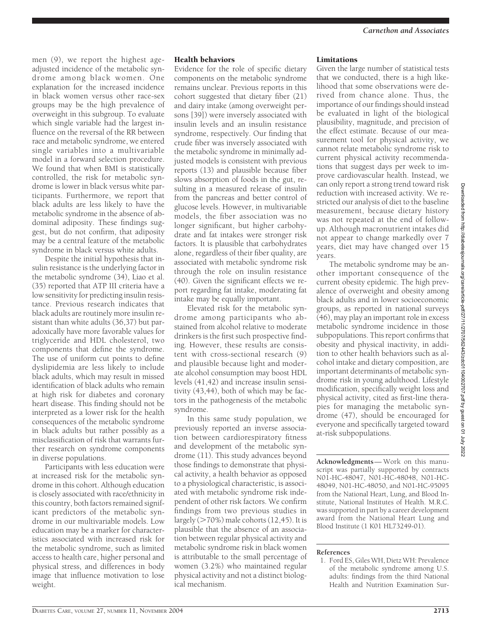men (9), we report the highest ageadjusted incidence of the metabolic syndrome among black women. One explanation for the increased incidence in black women versus other race-sex groups may be the high prevalence of overweight in this subgroup. To evaluate which single variable had the largest influence on the reversal of the RR between race and metabolic syndrome, we entered single variables into a multivariable model in a forward selection procedure. We found that when BMI is statistically controlled, the risk for metabolic syndrome is lower in black versus white participants. Furthermore, we report that black adults are less likely to have the metabolic syndrome in the absence of abdominal adiposity. These findings suggest, but do not confirm, that adiposity may be a central feature of the metabolic syndrome in black versus white adults.

Despite the initial hypothesis that insulin resistance is the underlying factor in the metabolic syndrome (34), Liao et al. (35) reported that ATP III criteria have a low sensitivity for predicting insulin resistance. Previous research indicates that black adults are routinely more insulin resistant than white adults (36,37) but paradoxically have more favorable values for triglyceride and HDL cholesterol, two components that define the syndrome. The use of uniform cut points to define dyslipidemia are less likely to include black adults, which may result in missed identification of black adults who remain at high risk for diabetes and coronary heart disease. This finding should not be interpreted as a lower risk for the health consequences of the metabolic syndrome in black adults but rather possibly as a misclassification of risk that warrants further research on syndrome components in diverse populations.

Participants with less education were at increased risk for the metabolic syndrome in this cohort. Although education is closely associated with race/ethnicity in this country, both factors remained significant predictors of the metabolic syndrome in our multivariable models. Low education may be a marker for characteristics associated with increased risk for the metabolic syndrome, such as limited access to health care, higher personal and physical stress, and differences in body image that influence motivation to lose weight.

## Health behaviors

Evidence for the role of specific dietary components on the metabolic syndrome remains unclear. Previous reports in this cohort suggested that dietary fiber (21) and dairy intake (among overweight persons [39]) were inversely associated with insulin levels and an insulin resistance syndrome, respectively. Our finding that crude fiber was inversely associated with the metabolic syndrome in minimally adjusted models is consistent with previous reports (13) and plausible because fiber slows absorption of foods in the gut, resulting in a measured release of insulin from the pancreas and better control of glucose levels. However, in multivariable models, the fiber association was no longer significant, but higher carbohydrate and fat intakes were stronger risk factors. It is plausible that carbohydrates alone, regardless of their fiber quality, are associated with metabolic syndrome risk through the role on insulin resistance (40). Given the significant effects we report regarding fat intake, moderating fat intake may be equally important.

Elevated risk for the metabolic syndrome among participants who abstained from alcohol relative to moderate drinkers is the first such prospective finding. However, these results are consistent with cross-sectional research (9) and plausible because light and moderate alcohol consumption may boost HDL levels (41,42) and increase insulin sensitivity (43,44), both of which may be factors in the pathogenesis of the metabolic syndrome.

In this same study population, we previously reported an inverse association between cardiorespiratory fitness and development of the metabolic syndrome (11). This study advances beyond those findings to demonstrate that physical activity, a health behavior as opposed to a physiological characteristic, is associated with metabolic syndrome risk independent of other risk factors. We confirm findings from two previous studies in largely (>70%) male cohorts (12,45). It is plausible that the absence of an association between regular physical activity and metabolic syndrome risk in black women is attributable to the small percentage of women (3.2%) who maintained regular physical activity and not a distinct biological mechanism.

## **Limitations**

Given the large number of statistical tests that we conducted, there is a high likelihood that some observations were derived from chance alone. Thus, the importance of our findings should instead be evaluated in light of the biological plausibility, magnitude, and precision of the effect estimate. Because of our measurement tool for physical activity, we cannot relate metabolic syndrome risk to current physical activity recommendations that suggest days per week to improve cardiovascular health. Instead, we can only report a strong trend toward risk reduction with increased activity. We restricted our analysis of diet to the baseline measurement, because dietary history was not repeated at the end of followup. Although macronutrient intakes did not appear to change markedly over 7 years, diet may have changed over 15 years.

The metabolic syndrome may be another important consequence of the current obesity epidemic. The high prevalence of overweight and obesity among black adults and in lower socioeconomic groups, as reported in national surveys (46), may play an important role in excess metabolic syndrome incidence in those subpopulations. This report confirms that obesity and physical inactivity, in addition to other health behaviors such as alcohol intake and dietary composition, are important determinants of metabolic syndrome risk in young adulthood. Lifestyle modification, specifically weight loss and physical activity, cited as first-line therapies for managing the metabolic syndrome (47), should be encouraged for everyone and specifically targeted toward at-risk subpopulations.

**Acknowledgments**— Work on this manuscript was partially supported by contracts N01-HC-48047, N01-HC-48048, N01-HC-48049, N01-HC-48050, and N01-HC-95095 from the National Heart, Lung, and Blood Institute, National Institutes of Health. M.R.C. was supported in part by a career development award from the National Heart Lung and Blood Institute (1 K01 HL73249-01).

#### **References**

Downloaded from http://diabetesjournals.org/care/article-pdf/27/11/2707/562443/zdc01104002707. pdf by guest on 01 July 2022 Downloaded from http://diabetesjournals.org/care/article-pdf/27/11/2707/562443/zdc01104002707.pdf by guest on 01 July 2022

<sup>1.</sup> Ford ES, Giles WH, Dietz WH: Prevalence of the metabolic syndrome among U.S. adults: findings from the third National Health and Nutrition Examination Sur-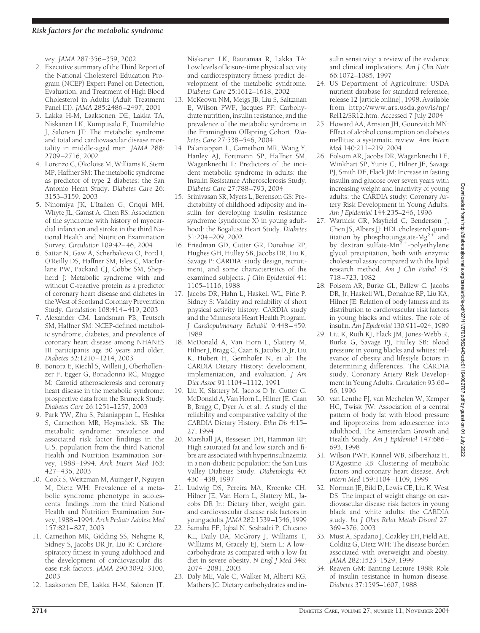vey. *JAMA* 287:356–359, 2002

- 2. Executive summary of the Third Report of the National Cholesterol Education Program (NCEP) Expert Panel on Detection, Evaluation, and Treatment of High Blood Cholesterol in Adults (Adult Treatment Panel III). *JAMA* 285:2486–2497, 2001
- 3. Lakka H-M, Laaksonen DE, Lakka TA, Niskanen LK, Kumpusalo E, Tuomilehto J, Salonen JT: The metabolic syndrome and total and cardiovascular disease mortality in middle-aged men. *JAMA* 288: 2709–2716, 2002
- 4. Lorenzo C, Okoloise M, Williams K, Stern MP, Haffner SM: The metabolic syndrome as predictor of type 2 diabetes: the San Antonio Heart Study. *Diabetes Care* 26: 3153–3159, 2003
- 5. Ninomiya JK, L'Italien G, Criqui MH, Whyte JL, Gamst A, Chen RS: Association of the syndrome with history of myocardial infarction and stroke in the third National Health and Nutrition Examination Survey. *Circulation* 109:42–46, 2004
- 6. Sattar N, Gaw A, Scherbakova O, Ford I, O'Reilly DS, Haffner SM, Isles C, Macfarlane PW, Packard CJ, Cobbe SM, Shepherd J: Metabolic syndrome with and without C-reactive protein as a predictor of coronary heart disease and diabetes in the West of Scotland Coronary Prevention Study. *Circulation* 108:414–419, 2003
- 7. Alexander CM, Landsman PB, Teutsch SM, Haffner SM: NCEP-defined metabolic syndrome, diabetes, and prevalence of coronary heart disease among NHANES III participants age 50 years and older. *Diabetes* 52:1210–1214, 2003
- 8. Bonora E, Kiechl S, Willeit J, Oberhollenzer F, Egger G, Bonadonna RC, Muggeo M: Carotid atherosclerosis and coronary heart disease in the metabolic syndrome: prospective data from the Bruneck Study. *Diabetes Care* 26:1251–1257, 2003
- 9. Park YW, Zhu S, Palaniappan L, Heshka S, Carnethon MR, Heymsfield SB: The metabolic syndrome: prevalence and associated risk factor findings in the U.S. population from the third National Health and Nutrition Examination Survey, 1988–1994. *Arch Intern Med* 163: 427–436, 2003
- 10. Cook S, Weitzman M, Auinger P, Nguyen M, Dietz WH: Prevalence of a metabolic syndrome phenotype in adolescents: findings from the third National Health and Nutrition Examination Survey, 1988–1994. *Arch Pediatr Adolesc Med* 157:821–827, 2003
- 11. Carnethon MR, Gidding SS, Nehgme R, Sidney S, Jacobs DR Jr, Liu K: Cardiorespiratory fitness in young adulthood and the development of cardiovascular disease risk factors. *JAMA* 290:3092–3100, 2003
- 12. Laaksonen DE, Lakka H-M, Salonen JT,

Niskanen LK, Rauramaa R, Lakka TA: Low levels of leisure-time physical activity and cardiorespiratory fitness predict development of the metabolic syndrome. *Diabetes Care* 25:1612–1618, 2002

- 13. McKeown NM, Meigs JB, Liu S, Saltzman E, Wilson PWF, Jacques PF: Carbohydrate nutrition, insulin resistance, and the prevalence of the metabolic syndrome in the Framingham Offspring Cohort. *Diabetes Care* 27:538–546, 2004
- 14. Palaniappan L, Carnethon MR, Wang Y, Hanley AJ, Fortmann SP, Haffner SM, Wagenknecht L: Predictors of the incident metabolic syndrome in adults: the Insulin Resistance Atherosclerosis Study. *Diabetes Care* 27:788–793, 2004
- 15. Srinivasan SR, Myers L, Berenson GS: Predictability of childhood adiposity and insulin for developing insulin resistance syndrome (syndrome X) in young adulthood: the Bogalusa Heart Study. *Diabetes* 51:204–209, 2002
- 16. Friedman GD, Cutter GR, Donahue RP, Hughes GH, Hulley SB, Jacobs DR, Liu K, Savage P: CARDIA: study design, recruitment, and some characteristics of the examined subjects. *J Clin Epidemiol* 41: 1105–1116, 1988
- 17. Jacobs DR, Hahn L, Haskell WL, Pirie P, Sidney S: Validity and reliability of short physical activity history: CARDIA study and the Minnesota Heart Health Program. *J Cardiopulmonary Rehabil* 9:448–459, 1989
- 18. McDonald A, Van Horn L, Slattery M, Hilner J, Bragg C, Caan B, Jacobs D, Jr, Liu K, Hubert H, Gernhofer N, et al: The CARDIA Dietary History: development, implementation, and evaluation. *J Am Diet Assoc* 91:1104–1112, 1991
- 19. Liu K, Slattery M, Jacobs D Jr, Cutter G, McDonald A, Van Horn L, Hilner JE, Caan B, Bragg C, Dyer A, et al.: A study of the reliability and comparative validity of the CARDIA Dietary History. *Ethn Dis* 4:15– 27, 1994
- 20. Marshall JA, Bessesen DH, Hamman RF: High saturated fat and low starch and fibre are associated with hyperinsulinaemia in a non-diabetic population: the San Luis Valley Diabetes Study. *Diabetologia* 40: 430–438, 1997
- 21. Ludwig DS, Pereira MA, Kroenke CH, Hilner JE, Van Horn L, Slattery ML, Jacobs DR Jr.: Dietary fiber, weight gain, and cardiovascular disease risk factors in young adults. *JAMA*282:1539–1546, 1999
- 22. Samaha FF, Iqbal N, Seshadri P, Chicano KL, Daily DA, McGrory J, Williams T, Williams M, Gracely EJ, Stern L: A lowcarbohydrate as compared with a low-fat diet in severe obesity. *N Engl J Med* 348: 2074–2081, 2003
- 23. Daly ME, Vale C, Walker M, Alberti KG, Mathers JC: Dietary carbohydrates and in-

sulin sensitivity: a review of the evidence and clinical implications. *Am J Clin Nutr* 66:1072–1085, 1997

- 24. US Department of Agriculture: USDA nutrient database for standard reference, release 12 [article online], 1998. Available from http://www.ars.usda.gov/is/np/ Rel12/SR12.htm. Accessed 7 July 2004
- 25. Howard AA, Arnsten JH, Gourevitch MN: Effect of alcohol consumption on diabetes mellitus: a systematic review. *Ann Intern Med* 140:211–219, 2004
- 26. Folsom AR, Jacobs DR, Wagenknecht LE, Winkhart SP, Yunis C, Hilner JE, Savage PJ, Smith DE, Flack JM: Increase in fasting insulin and glucose over seven years with increasing weight and inactivity of young adults: the CARDIA study: Coronary Artery Risk Development in Young Adults. *Am J Epidemiol* 144:235–246, 1996
- 27. Warnick GR, Mayfield C, Benderson J, Chen JS, Albers JJ: HDL cholesterol quantitation by phosphotungstate- $Mg^{2+}$  and by dextran sulfate-Mn<sup>2+</sup>-polyethylene glycol precipitation, both with enzymic cholesterol assay compared with the lipid research method. *Am J Clin Pathol* 78: 718–723, 1982
- 28. Folsom AR, Burke GL, Ballew C, Jacobs DR, Jr, Haskell WL, Donahue RP, Liu KA, Hilner JE: Relation of body fatness and its distribution to cardiovascular risk factors in young blacks and whites. The role of insulin. *Am J Epidemiol* 130:911–924, 1989
- 29. Liu K, Ruth KJ, Flack JM, Jones-Webb R, Burke G, Savage PJ, Hulley SB: Blood pressure in young blacks and whites: relevance of obesity and lifestyle factors in determining differences. The CARDIA study. Coronary Artery Risk Development in Young Adults. *Circulation* 93:60– 66, 1996
- 30. van Lenthe FJ, van Mechelen W, Kemper HC, Twisk JW: Association of a central pattern of body fat with blood pressure and lipoproteins from adolescence into adulthood. The Amsterdam Growth and Health Study. *Am J Epidemiol* 147:686– 693, 1998
- 31. Wilson PWF, Kannel WB, Silbershatz H, D'Agostino RB: Clustering of metabolic factors and coronary heart disease. *Arch Intern Med* 159:1104–1109, 1999
- 32. Norman JE, Bild D, Lewis CE, Liu K, West DS: The impact of weight change on cardiovascular disease risk factors in young black and white adults: the CARDIA study. *Int J Obes Relat Metab Disord* 27: 369–376, 2003
- 33. Must A, Spadano J, Coakley EH, Field AE, Colditz G, Dietz WH: The disease burden associated with overweight and obesity. *JAMA* 282:1523–1529, 1999
- 34. Reaven GM: Banting Lecture 1988: Role of insulin resistance in human disease. *Diabetes* 37:1595–1607, 1988